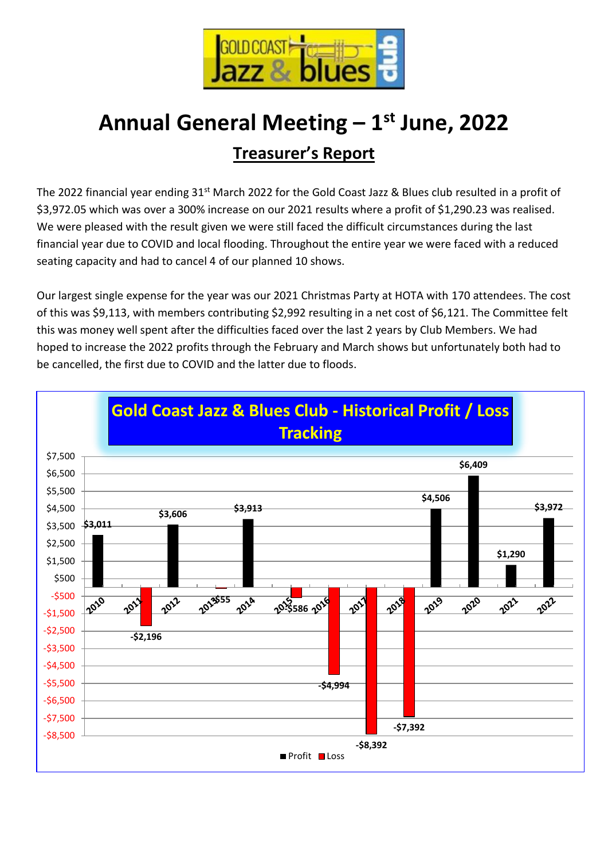

# **Annual General Meeting – 1 st June, 2022 Treasurer's Report**

The 2022 financial year ending 31<sup>st</sup> March 2022 for the Gold Coast Jazz & Blues club resulted in a profit of \$3,972.05 which was over a 300% increase on our 2021 results where a profit of \$1,290.23 was realised. We were pleased with the result given we were still faced the difficult circumstances during the last financial year due to COVID and local flooding. Throughout the entire year we were faced with a reduced seating capacity and had to cancel 4 of our planned 10 shows.

Our largest single expense for the year was our 2021 Christmas Party at HOTA with 170 attendees. The cost of this was \$9,113, with members contributing \$2,992 resulting in a net cost of \$6,121. The Committee felt this was money well spent after the difficulties faced over the last 2 years by Club Members. We had hoped to increase the 2022 profits through the February and March shows but unfortunately both had to be cancelled, the first due to COVID and the latter due to floods.

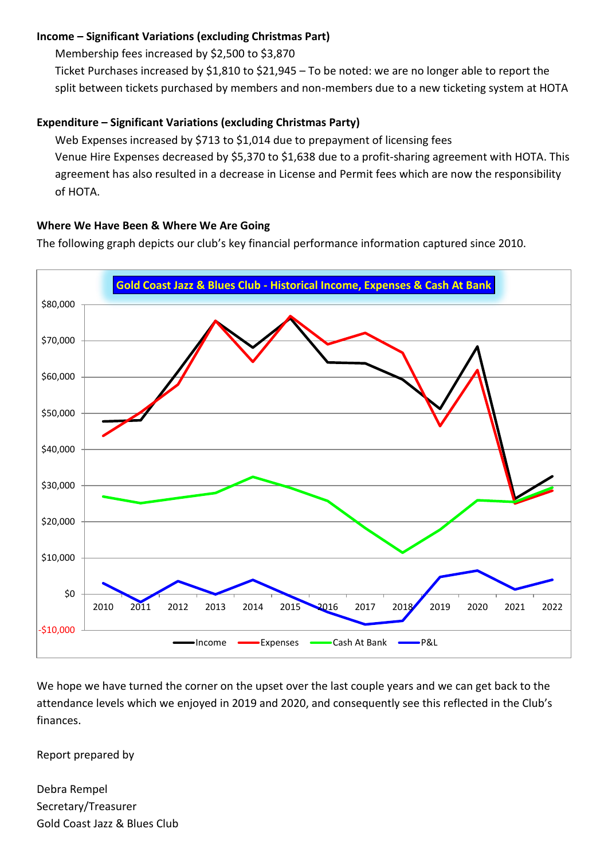#### **Income – Significant Variations (excluding Christmas Part)**

Membership fees increased by \$2,500 to \$3,870

Ticket Purchases increased by \$1,810 to \$21,945 – To be noted: we are no longer able to report the split between tickets purchased by members and non-members due to a new ticketing system at HOTA

## **Expenditure – Significant Variations (excluding Christmas Party)**

Web Expenses increased by \$713 to \$1,014 due to prepayment of licensing fees Venue Hire Expenses decreased by \$5,370 to \$1,638 due to a profit-sharing agreement with HOTA. This agreement has also resulted in a decrease in License and Permit fees which are now the responsibility of HOTA.

### **Where We Have Been & Where We Are Going**

The following graph depicts our club's key financial performance information captured since 2010.



We hope we have turned the corner on the upset over the last couple years and we can get back to the attendance levels which we enjoyed in 2019 and 2020, and consequently see this reflected in the Club's finances.

Report prepared by

Debra Rempel Secretary/Treasurer Gold Coast Jazz & Blues Club